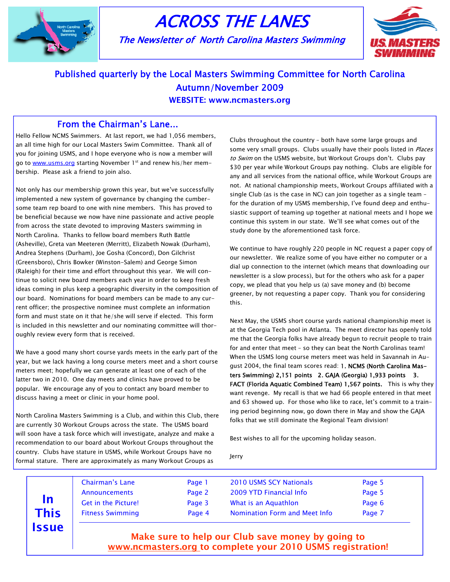

# ACROSS THE LANES

The Newsletter of North Carolina Masters Swimming



# Published quarterly by the Local Masters Swimming Committee for North Carolina Autumn/November 2009

WEBSITE: www.ncmasters.org

### From the Chairman's Lane...

Hello Fellow NCMS Swimmers. At last report, we had 1,056 members, an all time high for our Local Masters Swim Committee. Thank all of you for joining USMS, and I hope everyone who is now a member will go to www.usms.org starting November 1st and renew his/her membership. Please ask a friend to join also.

Not only has our membership grown this year, but we've successfully implemented a new system of governance by changing the cumbersome team rep board to one with nine members. This has proved to be beneficial because we now have nine passionate and active people from across the state devoted to improving Masters swimming in North Carolina. Thanks to fellow board members Ruth Battle (Asheville), Greta van Meeteren (Merritt), Elizabeth Nowak (Durham), Andrea Stephens (Durham), Joe Gosha (Concord), Don Gilchrist (Greensboro), Chris Bowker (Winston-Salem) and George Simon (Raleigh) for their time and effort throughout this year. We will continue to solicit new board members each year in order to keep fresh ideas coming in plus keep a geographic diversity in the composition of our board. Nominations for board members can be made to any current officer; the prospective nominee must complete an information form and must state on it that he/she will serve if elected. This form is included in this newsletter and our nominating committee will thoroughly review every form that is received.

We have a good many short course yards meets in the early part of the year, but we lack having a long course meters meet and a short course meters meet; hopefully we can generate at least one of each of the latter two in 2010. One day meets and clinics have proved to be popular. We encourage any of you to contact any board member to discuss having a meet or clinic in your home pool.

North Carolina Masters Swimming is a Club, and within this Club, there are currently 30 Workout Groups across the state. The USMS board will soon have a task force which will investigate, analyze and make a recommendation to our board about Workout Groups throughout the country. Clubs have stature in USMS, while Workout Groups have no formal stature. There are approximately as many Workout Groups as

Issue

Clubs throughout the country – both have some large groups and some very small groups. Clubs usually have their pools listed in Places to Swim on the USMS website, but Workout Groups don't. Clubs pay \$30 per year while Workout Groups pay nothing. Clubs are eligible for any and all services from the national office, while Workout Groups are not. At national championship meets, Workout Groups affiliated with a single Club (as is the case in NC) can join together as a single team – for the duration of my USMS membership, I've found deep and enthusiastic support of teaming up together at national meets and I hope we continue this system in our state. We'll see what comes out of the study done by the aforementioned task force.

We continue to have roughly 220 people in NC request a paper copy of our newsletter. We realize some of you have either no computer or a dial up connection to the internet (which means that downloading our newsletter is a slow process), but for the others who ask for a paper copy, we plead that you help us (a) save money and (b) become greener, by not requesting a paper copy. Thank you for considering this.

Next May, the USMS short course yards national championship meet is at the Georgia Tech pool in Atlanta. The meet director has openly told me that the Georgia folks have already begun to recruit people to train for and enter that meet – so they can beat the North Carolinas team! When the USMS long course meters meet was held in Savannah in August 2004, the final team scores read: 1. NCMS (North Carolina Masters Swimming) 2,151 points 2. GAJA (Georgia) 1,933 points 3. FACT (Florida Aquatic Combined Team) 1,567 points. This is why they want revenge. My recall is that we had 66 people entered in that meet and 63 showed up. For those who like to race, let's commit to a training period beginning now, go down there in May and show the GAJA folks that we still dominate the Regional Team division!

Best wishes to all for the upcoming holiday season.

Jerry

|      | Chairman's Lane            | Page 1 | <b>2010 USMS SCY Nationals</b> | Page 5 |  |
|------|----------------------------|--------|--------------------------------|--------|--|
| In   | Announcements              | Page 2 | 2009 YTD Financial Info        | Page 5 |  |
|      | <b>Get in the Picture!</b> | Page 3 | What is an Aquathlon           | Page 6 |  |
| This | <b>Fitness Swimming</b>    | Page 4 | Nomination Form and Meet Info  | Page 7 |  |

 Make sure to help our Club save money by going to www.ncmasters.org to complete your 2010 USMS registration!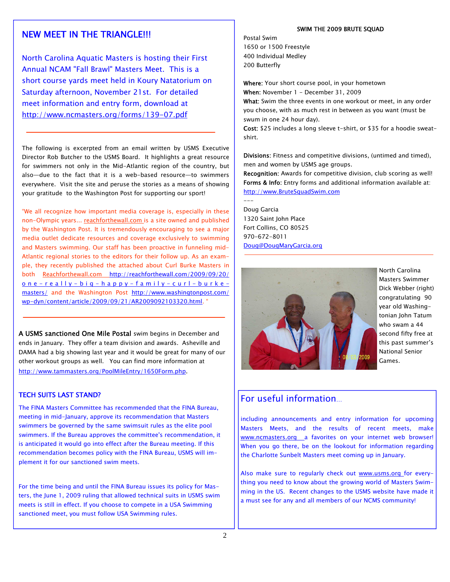## NEW MEET IN THE TRIANGLE!!!

North Carolina Aquatic Masters is hosting their First Annual NCAM "Fall Brawl" Masters Meet. This is a short course yards meet held in Koury Natatorium on Saturday afternoon, November 21st. For detailed meet information and entry form, download at http://www.ncmasters.org/forms/139-07.pdf

The following is excerpted from an email written by USMS Executive Director Rob Butcher to the USMS Board. It highlights a great resource for swimmers not only in the Mid-Atlantic region of the country, but also—due to the fact that it is a web-based resource—to swimmers everywhere. Visit the site and peruse the stories as a means of showing your gratitude to the Washington Post for supporting our sport!

"We all recognize how important media coverage is, especially in these non-Olympic years... reachforthewall.com is a site owned and published by the Washington Post. It is tremendously encouraging to see a major media outlet dedicate resources and coverage exclusively to swimming and Masters swimming. Our staff has been proactive in funneling mid-Atlantic regional stories to the editors for their follow up. As an example, they recently published the attached about Curl Burke Masters in both Reachforthewall.com http://reachforthewall.com/2009/09/20/ one-really-big-happy-family-curl-burkemasters/ and the Washington Post http://www.washingtonpost.com/ wp-dyn/content/article/2009/09/21/AR2009092103320.html. "

A USMS sanctioned One Mile Postal swim begins in December and ends in January. They offer a team division and awards. Asheville and DAMA had a big showing last year and it would be great for many of our other workout groups as well. You can find more information at http://www.tammasters.org/PoolMileEntry/1650Form.php.

#### TECH SUITS LAST STAND?

The FINA Masters Committee has recommended that the FINA Bureau, meeting in mid-January, approve its recommendation that Masters swimmers be governed by the same swimsuit rules as the elite pool swimmers. If the Bureau approves the committee's recommendation, it is anticipated it would go into effect after the Bureau meeting. If this recommendation becomes policy with the FINA Bureau, USMS will implement it for our sanctioned swim meets.

For the time being and until the FINA Bureau issues its policy for Masters, the June 1, 2009 ruling that allowed technical suits in USMS swim meets is still in effect. If you choose to compete in a USA Swimming sanctioned meet, you must follow USA Swimming rules.

#### SWIM THE 2009 BRUTE SQUAD

Postal Swim 1650 or 1500 Freestyle 400 Individual Medley 200 Butterfly

swum in one 24 hour day).

Where: Your short course pool, in your hometown When: November 1 - December 31, 2009 What: Swim the three events in one workout or meet, in any order you choose, with as much rest in between as you want (must be

Cost: \$25 includes a long sleeve t-shirt, or \$35 for a hoodie sweatshirt.

Divisions: Fitness and competitive divisions, (untimed and timed), men and women by USMS age groups.

Recognition: Awards for competitive division, club scoring as well! Forms & Info: Entry forms and additional information available at: http://www.BruteSquadSwim.com

Doug Garcia 1320 Saint John Place Fort Collins, CO 80525 970-672-8011 Doug@DougMaryGarcia.org

---



North Carolina Masters Swimmer Dick Webber (right) congratulating 90 year old Washingtonian John Tatum who swam a 44 second fifty free at this past summer's National Senior Games.

### For useful information…

including announcements and entry information for upcoming Masters Meets, and the results of recent meets, make www.ncmasters.org \_a favorites on your internet web browser! When you go there, be on the lookout for information regarding the Charlotte Sunbelt Masters meet coming up in January.

Also make sure to regularly check out www.usms.org for everything you need to know about the growing world of Masters Swimming in the US. Recent changes to the USMS website have made it a must see for any and all members of our NCMS community!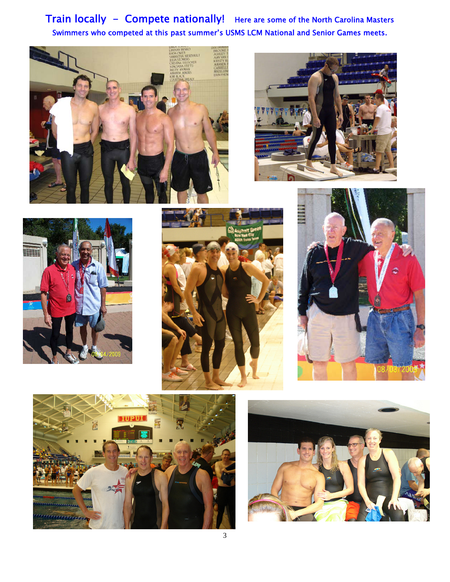Train locally - Compete nationally! Here are some of the North Carolina Masters Swimmers who competed at this past summer's USMS LCM National and Senior Games meets.













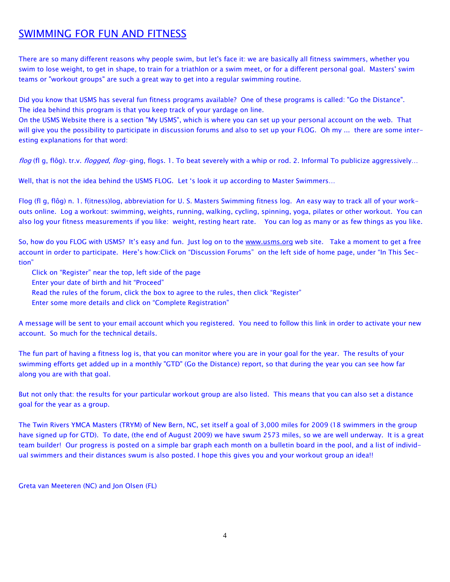# SWIMMING FOR FUN AND FITNESS

There are so many different reasons why people swim, but let's face it: we are basically all fitness swimmers, whether you swim to lose weight, to get in shape, to train for a triathlon or a swim meet, or for a different personal goal. Masters' swim teams or "workout groups" are such a great way to get into a regular swimming routine.

Did you know that USMS has several fun fitness programs available? One of these programs is called: "Go the Distance". The idea behind this program is that you keep track of your yardage on line.

On the USMS Website there is a section "My USMS", which is where you can set up your personal account on the web. That will give you the possibility to participate in discussion forums and also to set up your FLOG. Oh my ... there are some interesting explanations for that word:

flog (fl g, flôg). tr.v. flogged, flog·ging, flogs. 1. To beat severely with a whip or rod. 2. Informal To publicize aggressively...

Well, that is not the idea behind the USMS FLOG. Let 's look it up according to Master Swimmers…

Flog (fl g, flôg) n. 1. f(itness)log, abbreviation for U. S. Masters Swimming fitness log. An easy way to track all of your workouts online. Log a workout: swimming, weights, running, walking, cycling, spinning, yoga, pilates or other workout. You can also log your fitness measurements if you like: weight, resting heart rate. You can log as many or as few things as you like.

So, how do you FLOG with USMS? It's easy and fun. Just log on to the www.usms.org web site. Take a moment to get a free account in order to participate. Here's how:Click on "Discussion Forums" on the left side of home page, under "In This Section"

Click on "Register" near the top, left side of the page

Enter your date of birth and hit "Proceed"

Read the rules of the forum, click the box to agree to the rules, then click "Register"

Enter some more details and click on "Complete Registration"

A message will be sent to your email account which you registered. You need to follow this link in order to activate your new account. So much for the technical details.

The fun part of having a fitness log is, that you can monitor where you are in your goal for the year. The results of your swimming efforts get added up in a monthly "GTD" (Go the Distance) report, so that during the year you can see how far along you are with that goal.

But not only that: the results for your particular workout group are also listed. This means that you can also set a distance goal for the year as a group.

The Twin Rivers YMCA Masters (TRYM) of New Bern, NC, set itself a goal of 3,000 miles for 2009 (18 swimmers in the group have signed up for GTD). To date, (the end of August 2009) we have swum 2573 miles, so we are well underway. It is a great team builder! Our progress is posted on a simple bar graph each month on a bulletin board in the pool, and a list of individual swimmers and their distances swum is also posted. I hope this gives you and your workout group an idea!!

Greta van Meeteren (NC) and Jon Olsen (FL)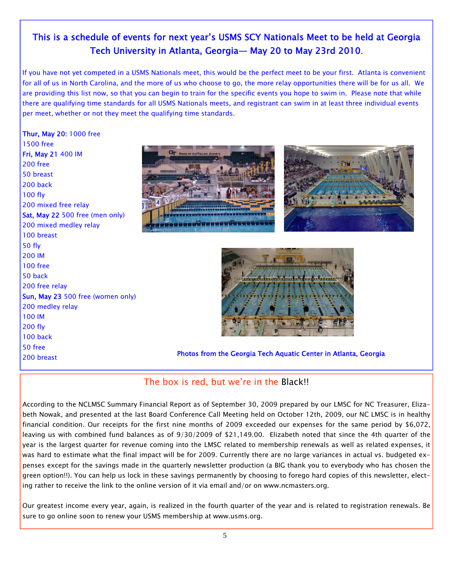# This is a schedule of events for next year's USMS SCY Nationals Meet to be held at Georgia Tech University in Atlanta, Georgia— May 20 to May 23rd 2010.

If you have not yet competed in a USMS Nationals meet, this would be the perfect meet to be your first. Atlanta is convenient for all of us in North Carolina, and the more of us who choose to go, the more relay opportunities there will be for us all. We are providing this list now, so that you can begin to train for the specific events you hope to swim in. Please note that while there are qualifying time standards for all USMS Nationals meets, and registrant can swim in at least three individual events per meet, whether or not they meet the qualifying time standards.

### Thur, May 20: 1000 free 1500 free

Fri, May 21 400 IM 200 free 50 breast 200 back 100 fly 200 mixed free relay Sat, May 22 500 free (men only) 200 mixed medley relay 100 breast 50 fly 200 IM 100 free 50 back 200 free relay Sun, May 23 500 free (women only) 200 medley relay 100 IM 200 fly 100 back 50 free







200 breast Photos from the Georgia Tech Aquatic Center in Atlanta, Georgia

# The box is red, but we're in the Black!!

According to the NCLMSC Summary Financial Report as of September 30, 2009 prepared by our LMSC for NC Treasurer, Elizabeth Nowak, and presented at the last Board Conference Call Meeting held on October 12th, 2009, our NC LMSC is in healthy financial condition. Our receipts for the first nine months of 2009 exceeded our expenses for the same period by \$6,072, leaving us with combined fund balances as of 9/30/2009 of \$21,149.00. Elizabeth noted that since the 4th quarter of the year is the largest quarter for revenue coming into the LMSC related to membership renewals as well as related expenses, it was hard to estimate what the final impact will be for 2009. Currently there are no large variances in actual vs. budgeted expenses except for the savings made in the quarterly newsletter production (a BIG thank you to everybody who has chosen the green option!!). You can help us lock in these savings permanently by choosing to forego hard copies of this newsletter, electing rather to receive the link to the online version of it via email and/or on www.ncmasters.org.

Our greatest income every year, again, is realized in the fourth quarter of the year and is related to registration renewals. Be sure to go online soon to renew your USMS membership at www.usms.org.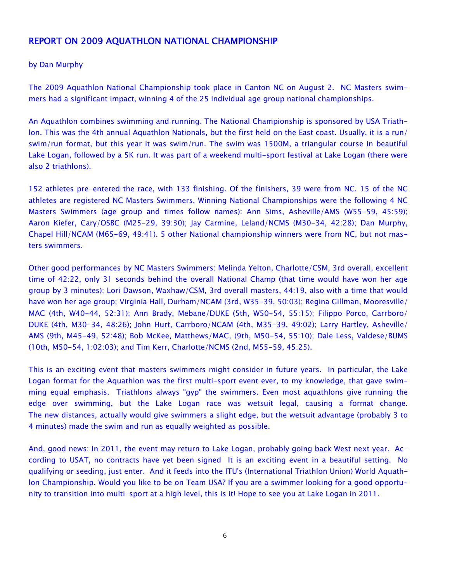### REPORT ON 2009 AQUATHLON NATIONAL CHAMPIONSHIP

### by Dan Murphy

The 2009 Aquathlon National Championship took place in Canton NC on August 2. NC Masters swimmers had a significant impact, winning 4 of the 25 individual age group national championships.

An Aquathlon combines swimming and running. The National Championship is sponsored by USA Triathlon. This was the 4th annual Aquathlon Nationals, but the first held on the East coast. Usually, it is a run/ swim/run format, but this year it was swim/run. The swim was 1500M, a triangular course in beautiful Lake Logan, followed by a 5K run. It was part of a weekend multi-sport festival at Lake Logan (there were also 2 triathlons).

152 athletes pre-entered the race, with 133 finishing. Of the finishers, 39 were from NC. 15 of the NC athletes are registered NC Masters Swimmers. Winning National Championships were the following 4 NC Masters Swimmers (age group and times follow names): Ann Sims, Asheville/AMS (W55-59, 45:59); Aaron Kiefer, Cary/OSBC (M25-29, 39:30); Jay Carmine, Leland/NCMS (M30-34, 42:28); Dan Murphy, Chapel Hill/NCAM (M65-69, 49:41). 5 other National championship winners were from NC, but not masters swimmers.

Other good performances by NC Masters Swimmers: Melinda Yelton, Charlotte/CSM, 3rd overall, excellent time of 42:22, only 31 seconds behind the overall National Champ (that time would have won her age group by 3 minutes); Lori Dawson, Waxhaw/CSM, 3rd overall masters, 44:19, also with a time that would have won her age group; Virginia Hall, Durham/NCAM (3rd, W35-39, 50:03); Regina Gillman, Mooresville/ MAC (4th, W40-44, 52:31); Ann Brady, Mebane/DUKE (5th, W50-54, 55:15); Filippo Porco, Carrboro/ DUKE (4th, M30-34, 48:26); John Hurt, Carrboro/NCAM (4th, M35-39, 49:02); Larry Hartley, Asheville/ AMS (9th, M45-49, 52:48); Bob McKee, Matthews/MAC, (9th, M50-54, 55:10); Dale Less, Valdese/BUMS (10th, M50-54, 1:02:03); and Tim Kerr, Charlotte/NCMS (2nd, M55-59, 45:25).

This is an exciting event that masters swimmers might consider in future years. In particular, the Lake Logan format for the Aquathlon was the first multi-sport event ever, to my knowledge, that gave swimming equal emphasis. Triathlons always "gyp" the swimmers. Even most aquathlons give running the edge over swimming, but the Lake Logan race was wetsuit legal, causing a format change. The new distances, actually would give swimmers a slight edge, but the wetsuit advantage (probably 3 to 4 minutes) made the swim and run as equally weighted as possible.

And, good news: In 2011, the event may return to Lake Logan, probably going back West next year. According to USAT, no contracts have yet been signed It is an exciting event in a beautiful setting. No qualifying or seeding, just enter. And it feeds into the ITU's (International Triathlon Union) World Aquathlon Championship. Would you like to be on Team USA? If you are a swimmer looking for a good opportunity to transition into multi-sport at a high level, this is it! Hope to see you at Lake Logan in 2011.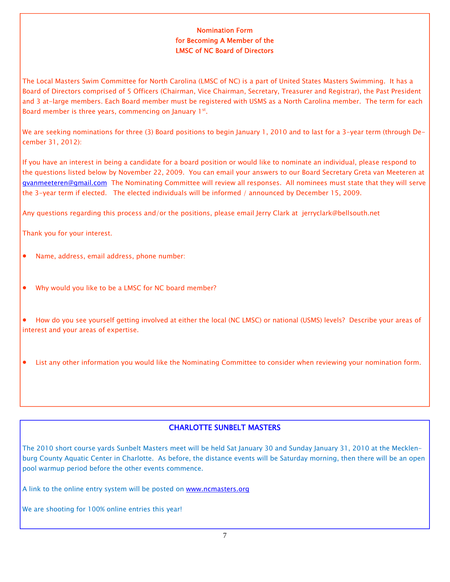### Nomination Form for Becoming A Member of the LMSC of NC Board of Directors

The Local Masters Swim Committee for North Carolina (LMSC of NC) is a part of United States Masters Swimming. It has a Board of Directors comprised of 5 Officers (Chairman, Vice Chairman, Secretary, Treasurer and Registrar), the Past President and 3 at-large members. Each Board member must be registered with USMS as a North Carolina member. The term for each Board member is three years, commencing on January  $1<sup>st</sup>$ .

We are seeking nominations for three (3) Board positions to begin January 1, 2010 and to last for a 3-year term (through December 31, 2012):

If you have an interest in being a candidate for a board position or would like to nominate an individual, please respond to the questions listed below by November 22, 2009. You can email your answers to our Board Secretary Greta van Meeteren at gvanmeeteren@gmail.com The Nominating Committee will review all responses. All nominees must state that they will serve the 3-year term if elected. The elected individuals will be informed / announced by December 15, 2009.

Any questions regarding this process and/or the positions, please email Jerry Clark at jerryclark@bellsouth.net

Thank you for your interest.

- Name, address, email address, phone number:
- Why would you like to be a LMSC for NC board member?

• How do you see yourself getting involved at either the local (NC LMSC) or national (USMS) levels? Describe your areas of interest and your areas of expertise.

• List any other information you would like the Nominating Committee to consider when reviewing your nomination form.

### CHARLOTTE SUNBELT MASTERS

The 2010 short course yards Sunbelt Masters meet will be held Sat January 30 and Sunday January 31, 2010 at the Mecklenburg County Aquatic Center in Charlotte. As before, the distance events will be Saturday morning, then there will be an open pool warmup period before the other events commence.

A link to the online entry system will be posted on www.ncmasters.org

We are shooting for 100% online entries this year!